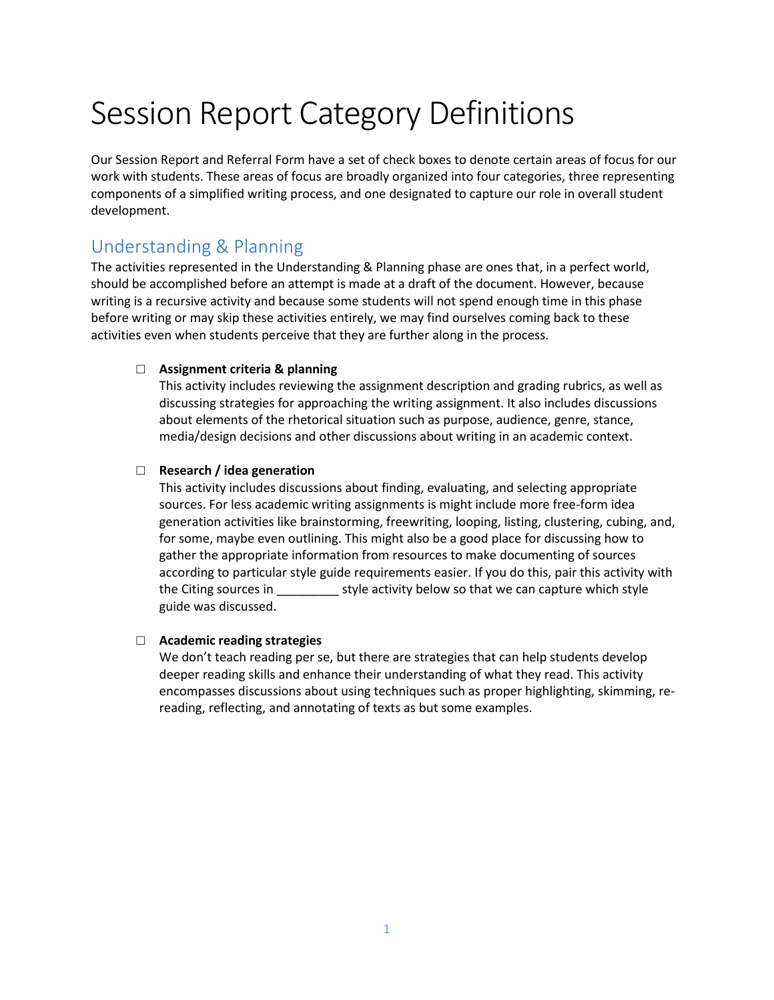# Session Report Category Definitions

Our Session Report and Referral Form have a set of check boxes to denote certain areas of focus for our work with students. These areas of focus are broadly organized into four categories, three representing components of a simplified writing process, and one designated to capture our role in overall student development.

## Understanding & Planning

The activities represented in the Understanding & Planning phase are ones that, in a perfect world, should be accomplished before an attempt is made at a draft of the document. However, because writing is a recursive activity and because some students will not spend enough time in this phase before writing or may skip these activities entirely, we may find ourselves coming back to these activities even when students perceive that they are further along in the process.

#### □ **Assignment criteria & planning**

This activity includes reviewing the assignment description and grading rubrics, as well as discussing strategies for approaching the writing assignment. It also includes discussions about elements of the rhetorical situation such as purpose, audience, genre, stance, media/design decisions and other discussions about writing in an academic context.

#### □ **Research / idea generation**

This activity includes discussions about finding, evaluating, and selecting appropriate sources. For less academic writing assignments is might include more free-form idea generation activities like brainstorming, freewriting, looping, listing, clustering, cubing, and, for some, maybe even outlining. This might also be a good place for discussing how to gather the appropriate information from resources to make documenting of sources according to particular style guide requirements easier. If you do this, pair this activity with the Citing sources in \_\_\_\_\_\_\_\_\_\_ style activity below so that we can capture which style guide was discussed.

#### □ **Academic reading strategies**

We don't teach reading per se, but there are strategies that can help students develop deeper reading skills and enhance their understanding of what they read. This activity encompasses discussions about using techniques such as proper highlighting, skimming, rereading, reflecting, and annotating of texts as but some examples.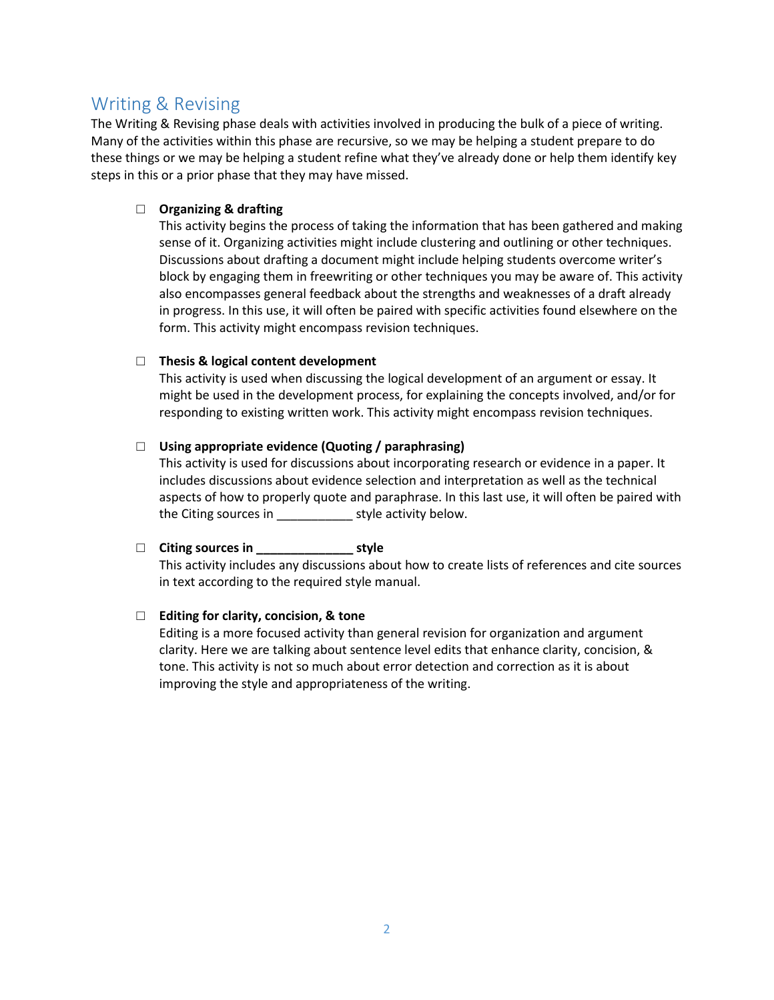## Writing & Revising

The Writing & Revising phase deals with activities involved in producing the bulk of a piece of writing. Many of the activities within this phase are recursive, so we may be helping a student prepare to do these things or we may be helping a student refine what they've already done or help them identify key steps in this or a prior phase that they may have missed.

#### □ **Organizing & drafting**

This activity begins the process of taking the information that has been gathered and making sense of it. Organizing activities might include clustering and outlining or other techniques. Discussions about drafting a document might include helping students overcome writer's block by engaging them in freewriting or other techniques you may be aware of. This activity also encompasses general feedback about the strengths and weaknesses of a draft already in progress. In this use, it will often be paired with specific activities found elsewhere on the form. This activity might encompass revision techniques.

#### □ **Thesis & logical content development**

This activity is used when discussing the logical development of an argument or essay. It might be used in the development process, for explaining the concepts involved, and/or for responding to existing written work. This activity might encompass revision techniques.

#### □ **Using appropriate evidence (Quoting / paraphrasing)**

This activity is used for discussions about incorporating research or evidence in a paper. It includes discussions about evidence selection and interpretation as well as the technical aspects of how to properly quote and paraphrase. In this last use, it will often be paired with the Citing sources in \_\_\_\_\_\_\_\_\_\_\_ style activity below.

### □ **Citing sources in \_\_\_\_\_\_\_\_\_\_\_\_\_\_ style**

This activity includes any discussions about how to create lists of references and cite sources in text according to the required style manual.

#### □ **Editing for clarity, concision, & tone**

Editing is a more focused activity than general revision for organization and argument clarity. Here we are talking about sentence level edits that enhance clarity, concision, & tone. This activity is not so much about error detection and correction as it is about improving the style and appropriateness of the writing.